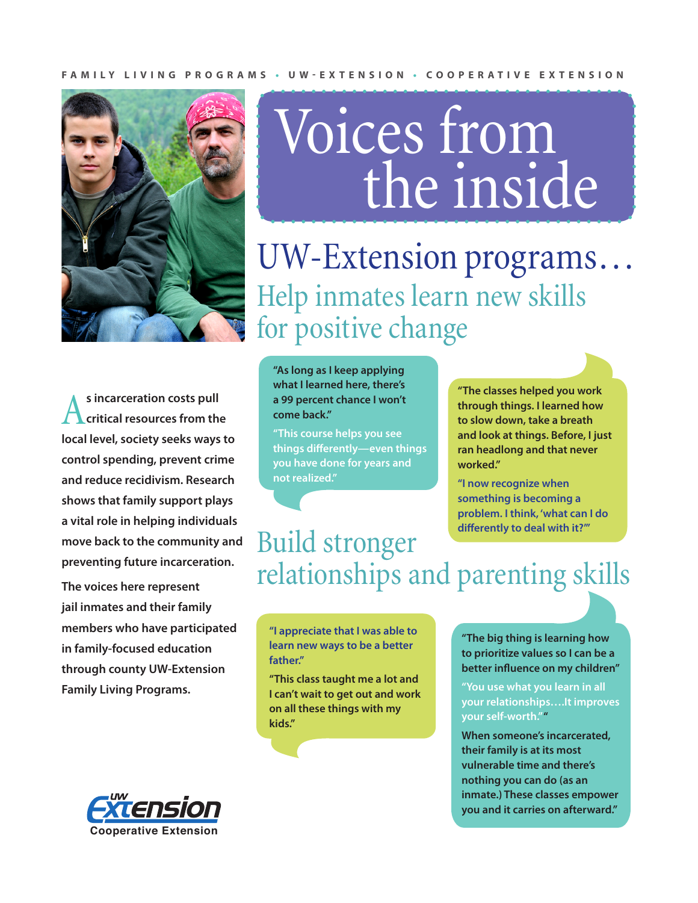#### **FAMILY LIVING PROGRAMS • UW-EXTENSION • COOPERATIVE EXTENSION**



**s incarceration costs pull critical resources from the local level, society seeks ways to control spending, prevent crime and reduce recidivism. Research shows that family support plays a vital role in helping individuals move back to the community and preventing future incarceration.** 

**The voices here represent jail inmates and their family members who have participated in family-focused education through county UW-Extension Family Living Programs.**

# Voices from the inside

UW-Extension programs… Help inmates learn new skills for positive change

**"As long as I keep applying what I learned here, there's a 99 percent chance I won't come back."**

**"This course helps you see things differently—even things you have done for years and not realized."**

**"The classes helped you work through things. I learned how to slow down, take a breath and look at things. Before, I just ran headlong and that never worked."**

**"I now recognize when something is becoming a problem. I think, 'what can I do differently to deal with it?'"**

#### Build stronger relationships and parenting skills

**"I appreciate that I was able to learn new ways to be a better father."**

**"This class taught me a lot and I can't wait to get out and work on all these things with my kids."**

**"The big thing is learning how to prioritize values so I can be a better influence on my children"**

**"You use what you learn in all your relationships….It improves your self-worth." "**

**When someone's incarcerated, their family is at its most vulnerable time and there's nothing you can do (as an inmate.) These classes empower you and it carries on afterward."**